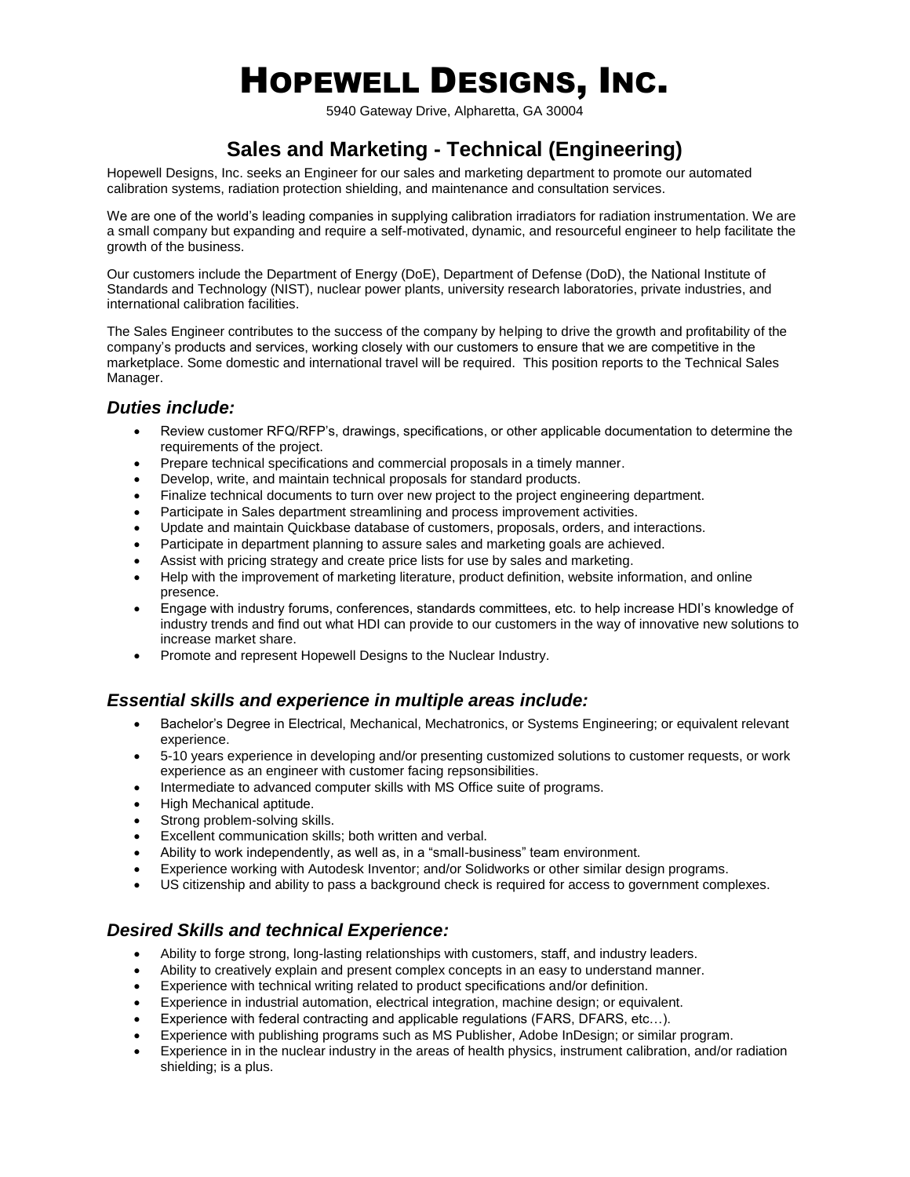# HOPEWELL DESIGNS, INC.

5940 Gateway Drive, Alpharetta, GA 30004

# **Sales and Marketing - Technical (Engineering)**

Hopewell Designs, Inc. seeks an Engineer for our sales and marketing department to promote our automated calibration systems, radiation protection shielding, and maintenance and consultation services.

We are one of the world's leading companies in supplying calibration irradiators for radiation instrumentation. We are a small company but expanding and require a self-motivated, dynamic, and resourceful engineer to help facilitate the growth of the business.

Our customers include the Department of Energy (DoE), Department of Defense (DoD), the National Institute of Standards and Technology (NIST), nuclear power plants, university research laboratories, private industries, and international calibration facilities.

The Sales Engineer contributes to the success of the company by helping to drive the growth and profitability of the company's products and services, working closely with our customers to ensure that we are competitive in the marketplace. Some domestic and international travel will be required. This position reports to the Technical Sales Manager.

#### *Duties include:*

- Review customer RFQ/RFP's, drawings, specifications, or other applicable documentation to determine the requirements of the project.
- Prepare technical specifications and commercial proposals in a timely manner.
- Develop, write, and maintain technical proposals for standard products.
- Finalize technical documents to turn over new project to the project engineering department.
- Participate in Sales department streamlining and process improvement activities.
- Update and maintain Quickbase database of customers, proposals, orders, and interactions.
- Participate in department planning to assure sales and marketing goals are achieved.
- Assist with pricing strategy and create price lists for use by sales and marketing.
- Help with the improvement of marketing literature, product definition, website information, and online presence.
- Engage with industry forums, conferences, standards committees, etc. to help increase HDI's knowledge of industry trends and find out what HDI can provide to our customers in the way of innovative new solutions to increase market share.
- Promote and represent Hopewell Designs to the Nuclear Industry.

#### *Essential skills and experience in multiple areas include:*

- Bachelor's Degree in Electrical, Mechanical, Mechatronics, or Systems Engineering; or equivalent relevant experience.
- 5-10 years experience in developing and/or presenting customized solutions to customer requests, or work experience as an engineer with customer facing repsonsibilities.
- Intermediate to advanced computer skills with MS Office suite of programs.
- High Mechanical aptitude.
- Strong problem-solving skills.
- Excellent communication skills; both written and verbal.
- Ability to work independently, as well as, in a "small-business" team environment.
- Experience working with Autodesk Inventor; and/or Solidworks or other similar design programs.
- US citizenship and ability to pass a background check is required for access to government complexes.

### *Desired Skills and technical Experience:*

- Ability to forge strong, long-lasting relationships with customers, staff, and industry leaders.
- Ability to creatively explain and present complex concepts in an easy to understand manner.
- Experience with technical writing related to product specifications and/or definition.
- Experience in industrial automation, electrical integration, machine design; or equivalent.
- Experience with federal contracting and applicable regulations (FARS, DFARS, etc…).
- Experience with publishing programs such as MS Publisher, Adobe InDesign; or similar program.
- Experience in in the nuclear industry in the areas of health physics, instrument calibration, and/or radiation shielding; is a plus.